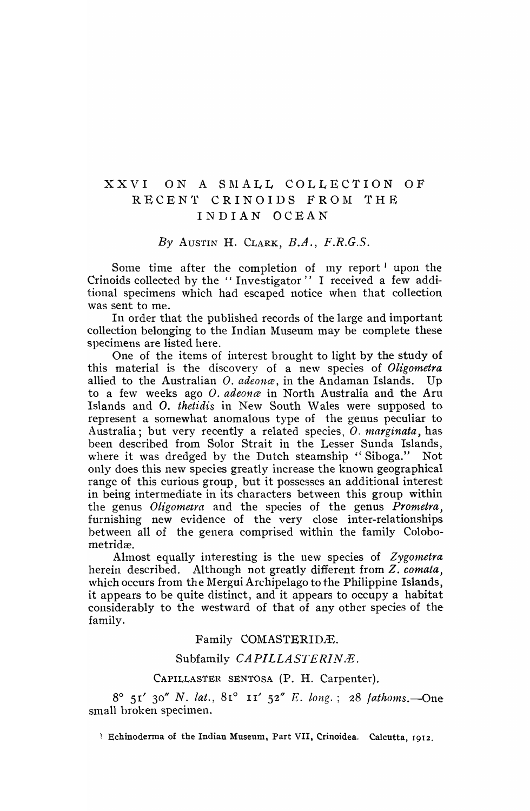# XXVI ON A SMALL COLLECTION OF RECENT CRINOIDS FROM THE INDIAN OCEAN

*By* AUSTIN H. CLARK, *B.A., F.R.C.S.* 

Some time after the completion of my report  $l$  upon the Crinoids collected by the "Investigator" I received a few additional specimens which had escaped notice when that collection was sent to me.

In order that the published records of the large and important collection belonging to the Indian Museum may be complete these specimens are listed here.

One of the items of interest brought to light by the study of this material is the discovery of a new species of *Oligometra* allied to the Australian O. *adeona*, in the Andaman Islands. Up to a fe\v weeks ago O. *adeonce* in North Australia and the Aru Islands and O. *thetidis* in New South Wales were supposed to represent a somewhat anomalous type of the genus peculiar to Australia; but very recently a related species, O. marginata, has been described from Solor Strait in the Lesser Sunda Islands, where it was dredged by the Dutch steamship "Siboga." Not only does this new species greatly increase the known geographical range of this curious group, but it possesses an additional interest in being intermediate in its characters between this group within the genus *Oligometra* and the species of the genus *Prometra,*  furnishing new evidence of the very close inter-relationships between all of the genera comprised within the family Colobometridæ.

Almost equally interesting is the new species of *Zygometra*  herein described. Although not greatly different from Z. *comata,*  which occurs from the Mergui Archipelago to the Philippine Islands, it appears to be quite distinct, and it appears to occupy a habitat considerably to the westward of that of any other species of thefamily.

# Family COMASTERIDÆ.

# Subfamily *CAPILLASTERINÆ*.

# CAPILLASTER SENTOSA (P. H. Carpenter).

8° 5r' 30" N. *lat.,* 81° II' 52" *E. long.;* 28 *fathoms.-One*  small broken specimen.

1 Echinoderma of the Indian Museum, Part VII, Crinoidea. Calcutta, 1912.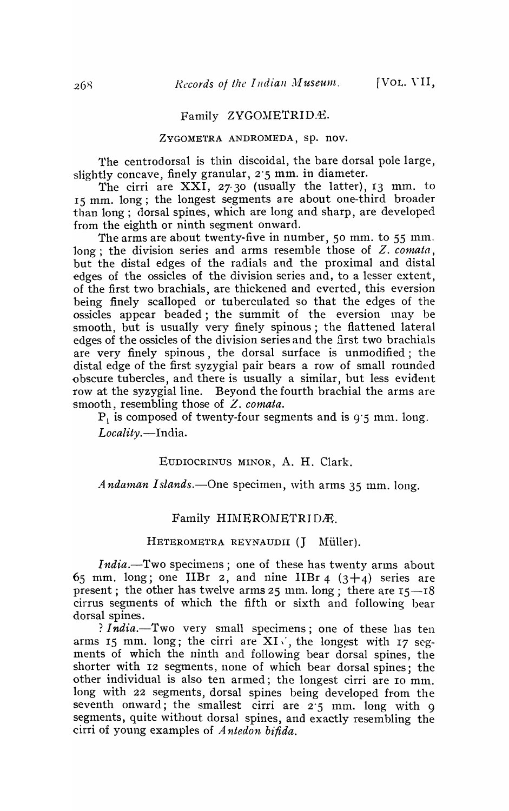#### Family ZYGOMETRID.4.

# ZYGOMETRA ANDROMEDA, sp. nov.

1'he centrodorsal is thin discoidal, the bare dorsal pole large, slightly concave, finely granular, 2.5 mm. in diameter.

The cirri are  $XXI$ ,  $27.30$  (usually the latter), 13 mm. to 15 mm. long; the longest segments are about one-third broader than long; dorsal spines, which are long and sharp, are developed from the eighth or ninth segment onward.

The arms are about twenty-five in number, 50 mm. to 55 mm. long; the division series and arms resemble those of Z, comata, but the distal edges of the radials and the proximal and distal edges of the ossicles of the division series and, to a lesser extent, of the first two brachials, are thickened and everted, this eversion being finely scalloped or tuberculated so that the edges of the ossicles appear beaded; the summit of the eversion may be smooth, but is usually very finely spinous; the flattened lateral edges of the ossicles of the division series and the first two brachials are very finely spinous, the dorsal surface is unmodified; the distal edge of the first syzygial pair bears a row of small rounded obscure tubercles, and there is usually a similar, but less evident row at the syzygial line. Beyond the fourth brachial the arms are smooth, resembling those of *Z. comata.* 

 $P_1$  is composed of twenty-four segments and is 9.5 mm, long. Locality.-India.

#### EUDIOCRINUS MINOR, A. H. Clark.

*Andaman Islands.*--One specimen, with arms 35 mm. long.

#### Family HIMEROMETRIDÆ.

#### HETEROMETRA REYNAUDII (J Müller).

*India.*-'Two specimens; one of these has twenty arms about 65 mm. long; one IIBr 2, and nine IIBr 4  $(3+4)$  series are present; the other has twelve arms 25 mm. long; there are  $15-18$ cirrus segments of which the fifth or sixth and following bear dorsal spines.

? *India*.-Two very small specimens; one of these has ten arms 15 mm. long; the cirri are  $XI \times I$ , the longest with 17 segments of which the ninth and following bear dorsal spines, the shorter with 12 segments, none of which bear dorsal spines; the other individual is also ten armed; the longest cirri are 10 mm. long with 22 segments, dorsal spines being developed from the seventh onward; the smallest cirri are  $2.5$  mm. long with 9 segments, quite without dorsal spines, and exactly resembling the cirri of young examples of *A ntedon bifida.*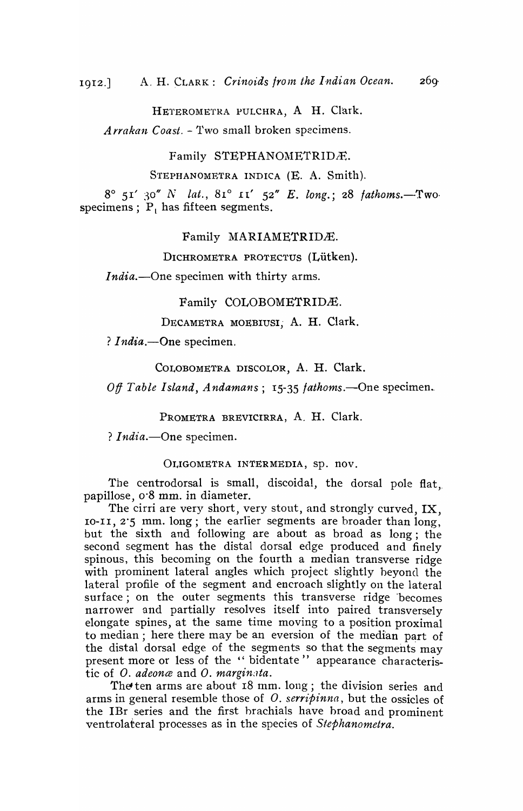HETEROMETRA PULCHRA, A H. Clark.

*Arrakan Coast.* - Two small broken specimens.

Family STEPHANOMETRIDÆ.

STEPHANOMETRA INDICA (E. A. Smith).

 $8^{\circ}$  51' 30" N *lat.*,  $81^{\circ}$  11' 52" *E. long.*; 28 *fathoms.*-Two. specimens;  $P_1$  has fifteen segments.

Family MARIAMETRIDÆ.

DICHROMETRA PROTECTUS (Lütken).

*India.*—One specimen with thirty arms.

Family COLOBOMETRIDÆ.

DECAMETRA MOEBIUSI, A. H. Clark.

? *India*.--One specimen.

COLOBOMETRA DISCOLOR, A. H. Clark.

*Off Table Island, Andamans; 15-35 <i>fathoms.*—One specimen.

PROMETRA BREVICIRRA, A. H. Clark.

? *India*. - One specimen.

OLIGOMETRA INTERMEDIA, Sp. nov.

The centrodorsal is small, discoidal, the dorsal pole flat. papillose, 0'8 mm. in diameter.

The cirri are very short, very stout, and strongly curved, IX, 10-11, 2'5 mm. long; the earlier segments are broader than long, but the sixth and following are about as broad as long; the second segment has the distal dorsal edge produced and finely spinous, this becoming on the fourth a median transverse ridge with prominent lateral angles which project slightly beyond the lateral profile of the segment and encroach slightly on the lateral surface; on the outer segments this transverse ridge 'becomes narrower and partially resolves itself into paired transversely elongate spines, at the same time moving to a position proximal to median; here there may be an eversion of the median part of the distal dorsal edge of the segments so that the segments  $\frac{m}{x}$ present more or less of the " bidentate" appearance characteristic of O. *adeonce* and O. *margin:lta.* 

The'ten arms are about 18 mm. long; the division series and anns in general resemble those of O. *serripinna,* but the ossicles of the IBr series and the first brachials have broad and prominent ventrolateral processes as in the species of *Stephanometra.*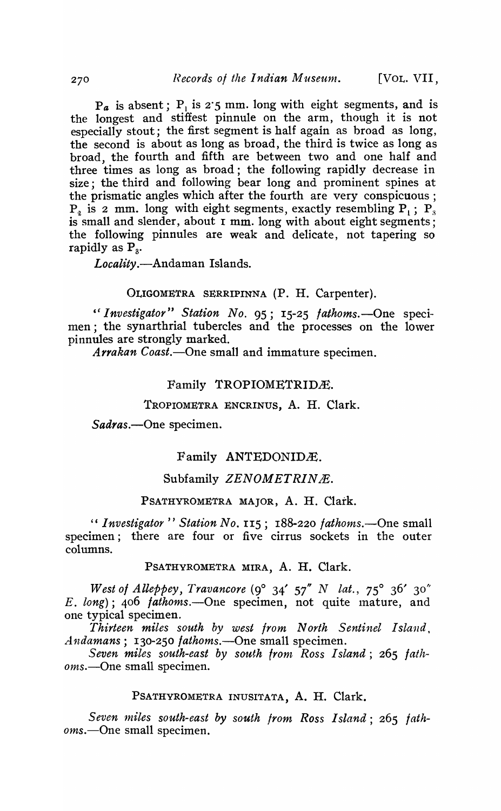$P_a$  is absent;  $P_i$  is 2'5 mm. long with eight segments, and is the longest and stiffest pinnule on the arm, though it is not especially stout; the first segment is half again as broad as long, the second is about as long as broad, the third is twice as long as broad, the fourth and fifth are between two and one half and three times as long as broad; the following rapidly decrease in size; the third and following bear long and prominent spines at the prismatic angles which after the fourth are very conspicuous;  $P<sub>g</sub>$  is 2 mm. long with eight segments, exactly resembling  $P<sub>u</sub>$ ;  $P<sub>g</sub>$ ; is small and slender, about  $\bar{x}$  mm. long with about eight segments; the following pinnules are weak and delicate, not tapering so rapidly as  $P_{\alpha}$ .

*Locality.-Andaman* Islands.

### OLIGOMETRA SERRIPINNA (P. H. Carpenter).

" Investigator" Station No. 95; 15-25 *fathoms*. - One specimen; the synarthrial tubercles and the processes on the lower pinnules are strongly marked.

*Arrakan Coast.-One* small and immature specimen.

#### Family TROPIOMETRIDÆ.

#### TROPIOMETRA ENCRINUS, A. H. Clark.

*Sadras.-One* specimen.

# Family ANTEDONIDÆ.

# Subfamily *ZENOMETRINÆ*.

# PSATHYROMETRA MAJOR, A. H. Clark.

" *Investigator" Station No.* 115; 188-220 *fathoms.-One* small specimen; there are four or five cirrus sockets in the outer columns.

PSATHYROMETRA MIRA, A. H. Clark.

*West of Alleppey, Travancore* (9° 34' 57" N *lat.*, 75° 36' 30" *E. long);* 406 *lathonts.-One* specimen, not quite Inature, and one typical specimen.

*Thirteen miles south by west Irom North Sentinel Island. Andamans;* 130-250 *fathoms.-One* small specimen.

*Seven miles south-east by south front Ross I stand;* 265 *lathoms.-One* small specimen.

# PSATHYROMETRA INUSITATA, A. H. Clark.

*Seven 1niles south-east by south from Ross Island;* 265 *fathoms.-One* small specimen.